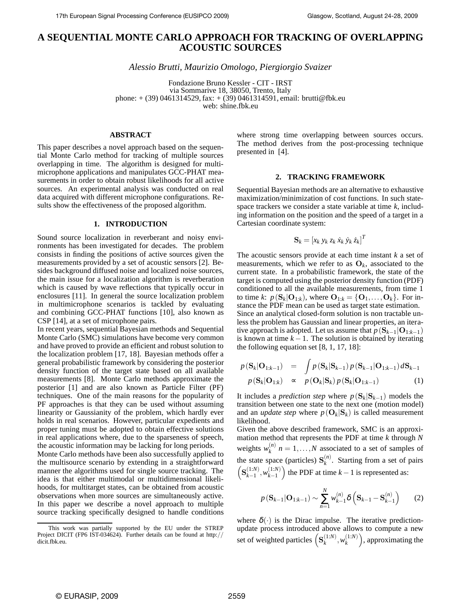# **A SEQUENTIAL MONTE CARLO APPROACH FOR TRACKING OF OVERLAPPING ACOUSTIC SOURCES**

*Alessio Brutti, Maurizio Omologo, Piergiorgio Svaizer*

Fondazione Bruno Kessler - CIT - IRST via Sommarive 18, 38050, Trento, Italy phone: + (39) 0461314529, fax: + (39) 0461314591, email: brutti@fbk.eu web: shine.fbk.eu

# **ABSTRACT**

This paper describes a novel approach based on the sequential Monte Carlo method for tracking of multiple sources overlapping in time. The algorithm is designed for multimicrophone applications and manipulates GCC-PHAT measurements in order to obtain robust likelihoods for all active sources. An experimental analysis was conducted on real data acquired with different microphone configurations. Results show the effectiveness of the proposed algorithm.

#### **1. INTRODUCTION**

Sound source localization in reverberant and noisy environments has been investigated for decades. The problem consists in finding the positions of active sources given the measurements provided by a set of acoustic sensors [2]. Besides background diffused noise and localized noise sources, the main issue for a localization algorithm is reverberation which is caused by wave reflections that typically occur in enclosures [11]. In general the source localization problem in multimicrophone scenarios is tackled by evaluating and combining GCC-PHAT functions [10], also known as CSP [14], at a set of microphone pairs.

In recent years, sequential Bayesian methods and Sequential Monte Carlo (SMC) simulations have become very common and have proved to provide an efficient and robust solution to the localization problem [17, 18]. Bayesian methods offer a general probabilistic framework by considering the posterior density function of the target state based on all available measurements [8]. Monte Carlo methods approximate the posterior [1] and are also known as Particle Filter (PF) techniques. One of the main reasons for the popularity of PF approaches is that they can be used without assuming linearity or Gaussianity of the problem, which hardly ever holds in real scenarios. However, particular expedients and proper tuning must be adopted to obtain effective solutions in real applications where, due to the sparseness of speech, the acoustic information may be lacking for long periods.

Monte Carlo methods have been also successfully applied to the multisource scenario by extending in a straightforward manner the algorithms used for single source tracking. The idea is that either multimodal or multidimensional likelihoods, for multitarget states, can be obtained from acoustic observations when more sources are simultaneously active. In this paper we describe a novel approach to multiple source tracking specifically designed to handle conditions where strong time overlapping between sources occurs. The method derives from the post-processing technique presented in [4].

#### **2. TRACKING FRAMEWORK**

Sequential Bayesian methods are an alternative to exhaustive maximization/minimization of cost functions. In such statespace trackers we consider a state variable at time *k*, including information on the position and the speed of a target in a Cartesian coordinate system:

$$
\mathbf{S}_k = \left[x_k \ y_k \ z_k \ \dot{x}_k \ \dot{y}_k \ \dot{z}_k\right]^T
$$

The acoustic sensors provide at each time instant *k* a set of measurements, which we refer to as  $O_k$ , associated to the current state. In a probabilistic framework, the state of the target is computed using the posterior density function (PDF) conditioned to all the available measurements, from time 1 to time *k*:  $p(\mathbf{S}_k | \mathbf{O}_{1:k})$ , where  $\mathbf{O}_{1:k} = \{ \mathbf{O}_1, \dots, \mathbf{O}_k \}$ . For instance the PDF mean can be used as target state estimation. Since an analytical closed-form solution is non tractable unless the problem has Gaussian and linear properties, an iterative approach is adopted. Let us assume that  $p(S_{k-1}|O_{1:k-1})$ is known at time  $k - 1$ . The solution is obtained by iterating the following equation set [8, 1, 17, 18]:

$$
p\left(\mathbf{S}_{k}|\mathbf{O}_{1:k-1}\right) = \int p\left(\mathbf{S}_{k}|\mathbf{S}_{k-1}\right) p\left(\mathbf{S}_{k-1}|\mathbf{O}_{1:k-1}\right) d\mathbf{S}_{k-1}
$$

$$
p\left(\mathbf{S}_{k}|\mathbf{O}_{1:k}\right) \propto p\left(\mathbf{O}_{k}|\mathbf{S}_{k}\right) p\left(\mathbf{S}_{k}|\mathbf{O}_{1:k-1}\right) \tag{1}
$$

It includes a *prediction step* where  $p(S_k|S_{k-1})$  models the transition between one state to the next one (motion model) and an *update step* where  $p(\mathbf{O}_k|\mathbf{S}_k)$  is called measurement likelihood.

Given the above described framework, SMC is an approximation method that represents the PDF at time *k* through *N* weights  $w_k^{(n)}$  $h_k^{(n)}$   $n = 1, \ldots, N$  associated to a set of samples of the state space (particles)  $S_k^{(n)}$  $\binom{n}{k}$ . Starting from a set of pairs  $\left( {\bf S}^{(1:N)}_{k-1} \right)$  $\binom{(1:N)}{k-1}, \binom{(1:N)}{k-1}$  $\binom{(1:N)}{k-1}$  the PDF at time  $k-1$  is represented as:

$$
p\left(\mathbf{S}_{k-1}|\mathbf{O}_{1:k-1}\right) \sim \sum_{n=1}^{N} w_{k-1}^{(n)} \delta\left(\mathbf{S}_{k-1} - \mathbf{S}_{k-1}^{(n)}\right) \tag{2}
$$

where  $\delta(\cdot)$  is the Dirac impulse. The iterative predictionupdate process introduced above allows to compute a new set of weighted particles  $(S_k^{(1:N)})$  $_{k}^{(1:N)}, w_{k}^{(1:N)}$  $\binom{(1:N)}{k}$ , approximating the

This work was partially supported by the EU under the STREP Project DICIT (FP6 IST-034624). Further details can be found at http:// dicit.fbk.eu.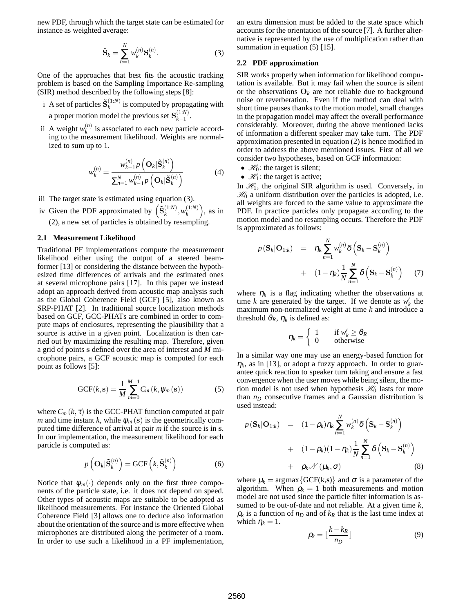new PDF, through which the target state can be estimated for instance as weighted average:

$$
\hat{\mathbf{S}}_k = \sum_{n=1}^N w_k^{(n)} \mathbf{S}_k^{(n)}.
$$
 (3)

One of the approaches that best fits the acoustic tracking problem is based on the Sampling Importance Re-sampling (SIR) method described by the following steps [8]:

- i A set of particles  $\tilde{\mathbf{S}}_k^{(1:N)}$  $\binom{1.1}{k}$  is computed by propagating with a proper motion model the previous set  $S_{k-1}^{(1:N)}$  $\frac{(1.1)}{k-1}$ .
- ii A weight  $w_k^{(n)}$  $\alpha_k^{(n)}$  is associated to each new particle according to the measurement likelihood. Weights are normalized to sum up to 1.

$$
w_{k}^{(n)} = \frac{w_{k-1}^{(n)} p\left(\mathbf{O}_{k}|\tilde{\mathbf{S}}_{k}^{(n)}\right)}{\sum_{n=1}^{N} w_{k-1}^{(n)} p\left(\mathbf{O}_{k}|\tilde{\mathbf{S}}_{k}^{(n)}\right)}
$$
(4)

- iii The target state is estimated using equation (3).
- iv Given the PDF approximated by  $\left(\tilde{\mathbf{S}}_k^{(1:N)}\right)$  $\binom{(1:N)}{k}, w_k^{(1:N)}$  $\binom{(1:N)}{k}$ , as in (2), a new set of particles is obtained by resampling.

## **2.1 Measurement Likelihood**

Traditional PF implementations compute the measurement likelihood either using the output of a steered beamformer [13] or considering the distance between the hypothesized time differences of arrivals and the estimated ones at several microphone pairs [17]. In this paper we instead adopt an approach derived from acoustic map analysis such as the Global Coherence Field (GCF) [5], also known as SRP-PHAT [2]. In traditional source localization methods based on GCF, GCC-PHATs are combined in order to compute maps of enclosures, representing the plausibility that a source is active in a given point. Localization is then carried out by maximizing the resulting map. Therefore, given a grid of points s defined over the area of interest and *M* microphone pairs, a GCF acoustic map is computed for each point as follows [5]:

$$
GCF(k, s) = \frac{1}{M} \sum_{m=0}^{M-1} C_m(k, \psi_m(s))
$$
 (5)

where  $C_m(k, \tau)$  is the GCC-PHAT function computed at pair *m* and time instant *k*, while  $\psi_m(s)$  is the geometrically computed time difference of arrival at pair *m* if the source is in s. In our implementation, the measurement likelihood for each particle is computed as:

$$
p\left(\mathbf{O}_k|\tilde{\mathbf{S}}_k^{(n)}\right) = \mathrm{GCF}\left(k,\tilde{\mathbf{S}}_k^{(n)}\right) \tag{6}
$$

Notice that  $\psi_m(\cdot)$  depends only on the first three components of the particle state, i.e. it does not depend on speed. Other types of acoustic maps are suitable to be adopted as likelihood measurements. For instance the Oriented Global Coherence Field [3] allows one to deduce also information about the orientation of the source and is more effective when microphones are distributed along the perimeter of a room. In order to use such a likelihood in a PF implementation, an extra dimension must be added to the state space which accounts for the orientation of the source [7]. A further alternative is represented by the use of multiplication rather than summation in equation  $(5)$  [15].

# **2.2 PDF approximation**

SIR works properly when information for likelihood computation is available. But it may fail when the source is silent or the observations  $O_k$  are not reliable due to background noise or reverberation. Even if the method can deal with short time pauses thanks to the motion model, small changes in the propagation model may affect the overall performance considerably. Moreover, during the above mentioned lacks of information a different speaker may take turn. The PDF approximation presented in equation (2) is hence modified in order to address the above mentioned issues. First of all we consider two hypotheses, based on GCF information:

- $\mathcal{H}_0$ : the target is silent;
- $\mathcal{H}_1$ : the target is active;

In  $\mathcal{H}_1$ , the original SIR algorithm is used. Conversely, in  $\mathcal{H}_0$  a uniform distribution over the particles is adopted, i.e. all weights are forced to the same value to approximate the PDF. In practice particles only propagate according to the motion model and no resampling occurs. Therefore the PDF is approximated as follows:

$$
p\left(\mathbf{S}_{k}|\mathbf{O}_{1:k}\right) = \eta_{k} \sum_{n=1}^{N} w_{k}^{(n)} \delta\left(\mathbf{S}_{k} - \mathbf{S}_{k}^{(n)}\right) + (1 - \eta_{k}) \frac{1}{N} \sum_{n=1}^{N} \delta\left(\mathbf{S}_{k} - \mathbf{S}_{k}^{(n)}\right) \tag{7}
$$

where  $\eta_k$  is a flag indicating whether the observations at time *k* are generated by the target. If we denote as  $w'_k$  the maximum non-normalized weight at time *k* and introduce a threshold  $\vartheta_R$ ,  $\eta_k$  is defined as:

$$
\eta_k = \left\{ \begin{array}{ll} 1 & \text{if } w'_k \ge \vartheta_R \\ 0 & \text{otherwise} \end{array} \right.
$$

In a similar way one may use an energy-based function for  $\eta_k$ , as in [13], or adopt a fuzzy approach. In order to guarantee quick reaction to speaker turn taking and ensure a fast convergence when the user moves while being silent, the motion model is not used when hypothesis  $\mathcal{H}_0$  lasts for more than  $n_D$  consecutive frames and a Gaussian distribution is used instead:

$$
p(\mathbf{S}_{k}|\mathbf{O}_{1:k}) = (1 - \rho_{k})\eta_{k} \sum_{n=1}^{N} w_{k}^{(n)} \delta\left(\mathbf{S}_{k} - \mathbf{S}_{k}^{(n)}\right) + (1 - \rho_{k})(1 - \eta_{k})\frac{1}{N} \sum_{n=1}^{N} \delta\left(\mathbf{S}_{k} - \mathbf{S}_{k}^{(n)}\right) + \rho_{k} \mathcal{N}\left(\mu_{k}, \sigma\right)
$$
(8)

where  $\mu_k = \arg \max \{ GCF(k, s) \}$  and  $\sigma$  is a parameter of the algorithm. When  $\rho_k = 1$  both measurements and motion model are not used since the particle filter information is assumed to be out-of-date and not reliable. At a given time *k*,  $\rho_k$  is a function of  $n_D$  and of  $k_R$  that is the last time index at which  $\eta_k = 1$ .

$$
\rho_k = \lfloor \frac{k - k_R}{n_D} \rfloor \tag{9}
$$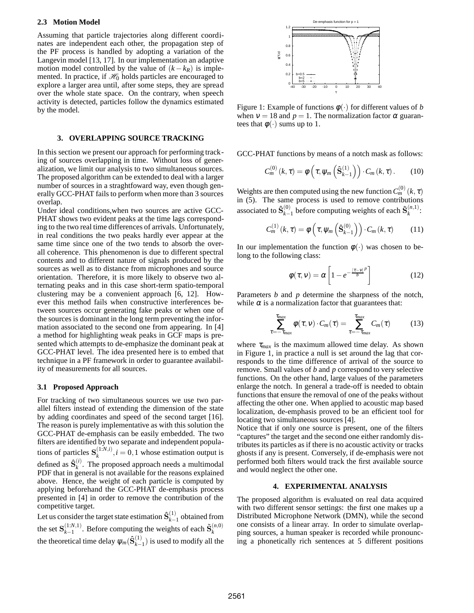#### **2.3 Motion Model**

Assuming that particle trajectories along different coordinates are independent each other, the propagation step of the PF process is handled by adopting a variation of the Langevin model [13, 17]. In our implementation an adaptive motion model controlled by the value of  $(k - k_R)$  is implemented. In practice, if  $\mathcal{H}_0$  holds particles are encouraged to explore a larger area until, after some steps, they are spread over the whole state space. On the contrary, when speech activity is detected, particles follow the dynamics estimated by the model.

#### **3. OVERLAPPING SOURCE TRACKING**

In this section we present our approach for performing tracking of sources overlapping in time. Without loss of generalization, we limit our analysis to two simultaneous sources. The proposed algorithm can be extended to deal with a larger number of sources in a straghtfoward way, even though generally GCC-PHAT fails to perform when more than 3 sources overlap.

Under ideal conditions,when two sources are active GCC-PHAT shows two evident peaks at the time lags corresponding to the two real time differences of arrivals. Unfortunately, in real conditions the two peaks hardly ever appear at the same time since one of the two tends to absorb the overall coherence. This phenomenon is due to different spectral contents and to different nature of signals produced by the sources as well as to distance from microphones and source orientation. Therefore, it is more likely to observe two alternating peaks and in this case short-term spatio-temporal clustering may be a convenient approach [6, 12]. However this method fails when constructive interferences between sources occur generating fake peaks or when one of the sources is dominant in the long term preventing the information associated to the second one from appearing. In [4] a method for highlighting weak peaks in GCF maps is presented which attempts to de-emphasize the dominant peak at GCC-PHAT level. The idea presented here is to embed that technique in a PF framework in order to guarantee availability of measurements for all sources.

#### **3.1 Proposed Approach**

For tracking of two simultaneous sources we use two parallel filters instead of extending the dimension of the state by adding coordinates and speed of the second target [16]. The reason is purely implementative as with this solution the GCC-PHAT de-emphasis can be easily embedded. The two filters are identified by two separate and independent populations of particles  $S_k^{(1:N,i)}$  $k_k^{(1:N,t)}$ ,  $i = 0,1$  whose estimation output is defined as  $\hat{\mathbf{S}}_k^{(i)}$  $k_k^{(l)}$ . The proposed approach needs a multimodal PDF that in general is not available for the reasons explained above. Hence, the weight of each particle is computed by applying beforehand the GCC-PHAT de-emphasis process presented in [4] in order to remove the contribution of the competitive target.

Let us consider the target state estimation  $\hat{\mathbf{S}}_{k-1}^{(1)}$  $\binom{1}{k-1}$  obtained from the set  $S_{k-1}^{(1:N,1)}$  $(k-1)$ <sup>(1:N,1)</sup>. Before computing the weights of each  $\tilde{\mathbf{S}}_k^{(n,0)}$ *k* the theoretical time delay  $\psi_m(\hat{\mathbf{S}}_{k-1}^{(1)})$  $\binom{1}{k-1}$  is used to modify all the



Figure 1: Example of functions  $\phi(\cdot)$  for different values of *b* when  $v = 18$  and  $p = 1$ . The normalization factor  $\alpha$  guarantees that  $\phi(\cdot)$  sums up to 1.

GCC-PHAT functions by means of a notch mask as follows:

$$
C_m^{(0)}(k,\tau) = \phi\left(\tau, \psi_m\left(\hat{\mathbf{S}}_{k-1}^{(1)}\right)\right) \cdot C_m(k,\tau). \tag{10}
$$

Weights are then computed using the new function  $C_m^{(0)}(k, \tau)$ in (5). The same process is used to remove contributions associated to  $\hat{\mathbf{S}}_{k-}^{(0)}$  $\sum_{k-1}^{(0)}$  before computing weights of each  $\tilde{\mathbf{S}}_k^{(n,1)}$  $x^{(n,1)}$ 

$$
C_m^{(1)}(k,\tau) = \phi\left(\tau, \psi_m\left(\hat{\mathbf{S}}_{k-1}^{(0)}\right)\right) \cdot C_m(k,\tau) \tag{11}
$$

In our implementation the function  $\phi(\cdot)$  was chosen to belong to the following class:

$$
\phi(\tau, v) = \alpha \left[ 1 - e^{-\frac{|\tau - v|^p}{b}} \right]
$$
\n(12)

Parameters *b* and *p* determine the sharpness of the notch, while  $\alpha$  is a normalization factor that guarantees that:

$$
\sum_{\tau=-\tau_{max}}^{\tau_{max}} \phi(\tau, v) \cdot C_m(\tau) = \sum_{\tau=-\tau_{max}}^{\tau_{max}} C_m(\tau) \qquad (13)
$$

where  $\tau_{max}$  is the maximum allowed time delay. As shown in Figure 1, in practice a null is set around the lag that corresponds to the time difference of arrival of the source to remove. Small values of *b* and *p* correspond to very selective functions. On the other hand, large values of the parameters enlarge the notch. In general a trade-off is needed to obtain functions that ensure the removal of one of the peaks without affecting the other one. When applied to acoustic map based localization, de-emphasis proved to be an efficient tool for locating two simultaneous sources [4].

Notice that if only one source is present, one of the filters "captures" the target and the second one either randomly distributes its particles as if there is no acoustic activity or tracks ghosts if any is present. Conversely, if de-emphasis were not performed both filters would track the first available source and would neglect the other one.

# **4. EXPERIMENTAL ANALYSIS**

The proposed algorithm is evaluated on real data acquired with two different sensor settings: the first one makes up a Distributed Microphone Network (DMN), while the second one consists of a linear array. In order to simulate overlapping sources, a human speaker is recorded while pronouncing a phonetically rich sentences at 5 different positions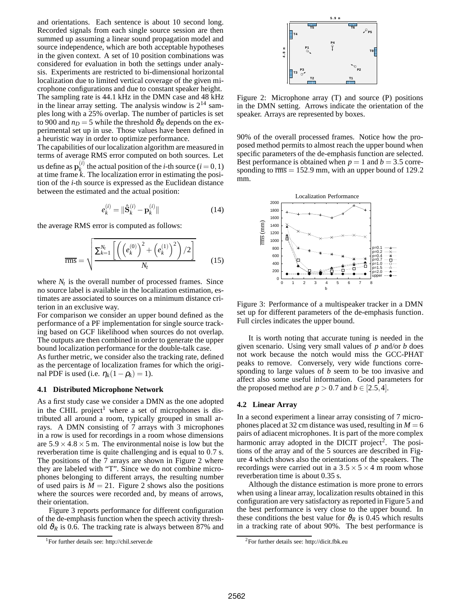and orientations. Each sentence is about 10 second long. Recorded signals from each single source session are then summed up assuming a linear sound propagation model and source independence, which are both acceptable hypotheses in the given context. A set of 10 position combinations was considered for evaluation in both the settings under analysis. Experiments are restricted to bi-dimensional horizontal localization due to limited vertical coverage of the given microphone configurations and due to constant speaker height. The sampling rate is 44.1 kHz in the DMN case and 48 kHz in the linear array setting. The analysis window is  $2^{14}$  samples long with a 25% overlap. The number of particles is set to 900 and  $n_D = 5$  while the threshold  $\vartheta_R$  depends on the experimental set up in use. Those values have been defined in a heuristic way in order to optimize performance.

The capabilities of our localization algorithm are measured in terms of average RMS error computed on both sources. Let us define as  $\mathbf{p}_k^{(i)}$  $k_k^{(i)}$  the actual position of the *i*-th source  $(i = 0, 1)$ at time frame *k*. The localization error in estimating the position of the *i*-th source is expressed as the Euclidean distance between the estimated and the actual position:

$$
e_k^{(i)} = \|\hat{\mathbf{S}}_k^{(i)} - \mathbf{p}_k^{(i)}\|
$$
 (14)

the average RMS error is computed as follows:

$$
\overline{\text{rms}} = \sqrt{\frac{\sum_{k=1}^{N_t} \left[ \left( \left( e_k^{(0)} \right)^2 + \left( e_k^{(1)} \right)^2 \right) / 2 \right]}{N_t}}
$$
(15)

where  $N_t$  is the overall number of processed frames. Since no source label is available in the localization estimation, estimates are associated to sources on a minimum distance criterion in an exclusive way.

For comparison we consider an upper bound defined as the performance of a PF implementation for single source tracking based on GCF likelihood when sources do not overlap. The outputs are then combined in order to generate the upper bound localization performance for the double-talk case.

As further metric, we consider also the tracking rate, defined as the percentage of localization frames for which the original PDF is used (i.e.  $\eta_k(1-\rho_k) = 1$ ).

#### **4.1 Distributed Microphone Network**

As a first study case we consider a DMN as the one adopted in the CHIL project<sup>1</sup> where a set of microphones is distributed all around a room, typically grouped in small arrays. A DMN consisting of 7 arrays with 3 microphones in a row is used for recordings in a room whose dimensions are  $5.9 \times 4.8 \times 5$  m. The environmental noise is low but the reverberation time is quite challenging and is equal to 0.7 s. The positions of the 7 arrays are shown in Figure 2 where they are labeled with "T". Since we do not combine microphones belonging to different arrays, the resulting number of used pairs is  $M = 21$ . Figure 2 shows also the positions where the sources were recorded and, by means of arrows, their orientation.

Figure 3 reports performance for different configuration of the de-emphasis function when the speech activity threshold  $\vartheta_R$  is 0.6. The tracking rate is always between 87% and



Figure 2: Microphone array (T) and source (P) positions in the DMN setting. Arrows indicate the orientation of the speaker. Arrays are represented by boxes.

90% of the overall processed frames. Notice how the proposed method permits to almost reach the upper bound when specific parameters of the de-emphasis function are selected. Best performance is obtained when  $p = 1$  and  $b = 3.5$  corresponding to  $\overline{rms} = 152.9$  mm, with an upper bound of 129.2 mm.



Figure 3: Performance of a multispeaker tracker in a DMN set up for different parameters of the de-emphasis function. Full circles indicates the upper bound.

It is worth noting that accurate tuning is needed in the given scenario. Using very small values of *p* and/or *b* does not work because the notch would miss the GCC-PHAT peaks to remove. Conversely, very wide functions corresponding to large values of *b* seem to be too invasive and affect also some useful information. Good parameters for the proposed method are  $p > 0.7$  and  $b \in [2.5, 4]$ .

## **4.2 Linear Array**

In a second experiment a linear array consisting of 7 microphones placed at 32 cm distance was used, resulting in  $M = 6$ pairs of adiacent microphones. It is part of the more complex harmonic array adopted in the DICIT project<sup>2</sup>. The positions of the array and of the 5 sources are described in Figure 4 which shows also the orientations of the speakers. The recordings were carried out in a  $3.5 \times 5 \times 4$  m room whose reverberation time is about 0.35 s.

Although the distance estimation is more prone to errors when using a linear array, localization results obtained in this configuration are very satisfactory as reported in Figure 5 and the best performance is very close to the upper bound. In these conditions the best value for  $\vartheta_R$  is 0.45 which results in a tracking rate of about 90%. The best performance is

<sup>1</sup>For further details see: http://chil.server.de

<sup>2</sup>For further details see: http://dicit.fbk.eu